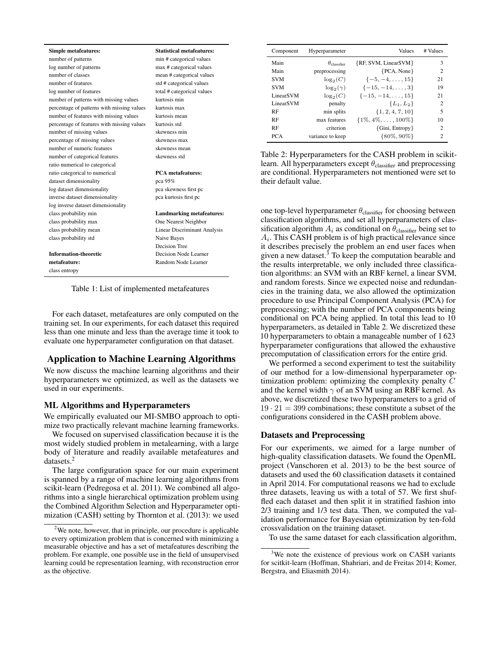| <b>Simple metafeatures:</b>                | <b>Statistical metafeatures:</b>    |          |
|--------------------------------------------|-------------------------------------|----------|
| number of patterns                         | min # categorical values            |          |
| log number of patterns                     | max # categorical values            |          |
| number of classes                          | mean # categorical values           |          |
| number of features                         | std # categorical values            |          |
| log number of features                     | total # categorical values          |          |
| number of patterns with missing values     | kurtosis min                        |          |
| percentage of patterns with missing values | kurtosis max                        |          |
| number of features with missing values     | kurtosis mean                       |          |
| percentage of features with missing values | kurtosis std                        |          |
| number of missing values                   | skewness min                        |          |
| percentage of missing values               | skewness max                        |          |
| number of numeric features                 | skewness mean                       |          |
| number of categorical features             | skewness std                        | Tε       |
| ratio numerical to categorical             |                                     | le.      |
| ratio categorical to numerical             | <b>PCA</b> metafeatures:            | ar       |
| dataset dimensionality                     | pca 95%                             | th       |
| log dataset dimensionality                 | pca skewness first pc               |          |
| inverse dataset dimensionality             | pca kurtosis first pc               |          |
| log inverse dataset dimensionality         |                                     |          |
| class probability min                      | <b>Landmarking metafeatures:</b>    | $\alpha$ |
| class probability max                      | One Nearest Neighbor                | cl       |
| class probability mean                     | <b>Linear Discriminant Analysis</b> | sii      |
| class probability std                      | Naive Bayes                         | A        |
|                                            | Decision Tree                       | it       |
| <b>Information-theoretic</b>               | Decision Node Learner               | gi       |
| metafeature:                               | Random Node Learner                 | th       |
| class entropy                              |                                     | tio      |

Table 1: List of implemented metafeatures

For each dataset, metafeatures are only computed on the training set. In our experiments, for each dataset this required less than one minute and less than the average time it took to evaluate one hyperparameter configuration on that dataset.

# Application to Machine Learning Algorithms

We now discuss the machine learning algorithms and their hyperparameters we optimized, as well as the datasets we used in our experiments.

# ML Algorithms and Hyperparameters

We empirically evaluated our MI-SMBO approach to optimize two practically relevant machine learning frameworks.

We focused on supervised classification because it is the most widely studied problem in metalearning, with a large body of literature and readily available metafeatures and datasets.<sup>2</sup>

The large configuration space for our main experiment is spanned by a range of machine learning algorithms from scikit-learn (Pedregosa et al. 2011). We combined all algorithms into a single hierarchical optimization problem using the Combined Algorithm Selection and Hyperparameter optimization (CASH) setting by Thornton et al. (2013): we used

| Component             | Hyperparameter            | <b>Values</b>                 | # Values       |
|-----------------------|---------------------------|-------------------------------|----------------|
| Main                  | $\theta_{\text{cluster}}$ | {RF, SVM, LinearSVM}          | 3              |
| Main                  | preprocessing             | ${PCA, None}$                 | $\overline{2}$ |
| <b>SVM</b>            | $\log_2(C)$               | $\{-5, -4, \ldots, 15\}$      | 21             |
| <b>SVM</b>            | $\log_2(\gamma)$          | $\{-15, -14, \ldots, 3\}$     | 19             |
| Linear <sub>SVM</sub> | $\log_2(C)$               | $\{-15, -14, \ldots, 15\}$    | 21             |
| Linear <sub>SVM</sub> | penalty                   | ${L_1, L_2}$                  | $\overline{c}$ |
| RF                    | min splits                | $\{1, 2, 4, 7, 10\}$          | 5              |
| <b>RF</b>             | max features              | $\{1\%, 4\%, \ldots, 100\%\}$ | 10             |
| RF                    | criterion                 | $\{Gini, Entropy\}$           | $\mathfrak{D}$ |
| <b>PCA</b>            | variance to keep          | ${80\%, 90\%}$                | $\mathfrak{D}$ |

able 2: Hyperparameters for the CASH problem in scikitarn. All hyperparameters except  $\theta_{\text{classifier}}$  and preprocessing re conditional. Hyperparameters not mentioned were set to eir default value.

ne top-level hyperparameter  $\theta_{\text{classify}}$  for choosing between assification algorithms, and set all hyperparameters of clasfication algorithm  $A_i$  as conditional on  $\theta_{\text{classifier}}$  being set to  $A_i$ . This CASH problem is of high practical relevance since describes precisely the problem an end user faces when ven a new dataset.<sup>3</sup> To keep the computation bearable and the results interpretable, we only included three classificaon algorithms: an SVM with an RBF kernel, a linear SVM, and random forests. Since we expected noise and redundancies in the training data, we also allowed the optimization procedure to use Principal Component Analysis (PCA) for preprocessing; with the number of PCA components being conditional on PCA being applied. In total this lead to 10 hyperparameters, as detailed in Table 2. We discretized these 10 hyperparameters to obtain a manageable number of 1 623 hyperparameter configurations that allowed the exhaustive precomputation of classification errors for the entire grid.

We performed a second experiment to test the suitability of our method for a low-dimensional hyperparameter optimization problem: optimizing the complexity penalty C and the kernel width  $\gamma$  of an SVM using an RBF kernel. As above, we discretized these two hyperparameters to a grid of  $19 \cdot 21 = 399$  combinations; these constitute a subset of the configurations considered in the CASH problem above.

# Datasets and Preprocessing

For our experiments, we aimed for a large number of high-quality classification datasets. We found the OpenML project (Vanschoren et al. 2013) to be the best source of datasets and used the 60 classification datasets it contained in April 2014. For computational reasons we had to exclude three datasets, leaving us with a total of 57. We first shuffled each dataset and then split it in stratified fashion into 2/3 training and 1/3 test data. Then, we computed the validation performance for Bayesian optimization by ten-fold crossvalidation on the training dataset.

To use the same dataset for each classification algorithm,

 $2$ We note, however, that in principle, our procedure is applicable to every optimization problem that is concerned with minimizing a measurable objective and has a set of metafeatures describing the problem. For example, one possible use in the field of unsupervised learning could be representation learning, with reconstruction error as the objective.

<sup>&</sup>lt;sup>3</sup>We note the existence of previous work on CASH variants for scitkit-learn (Hoffman, Shahriari, and de Freitas 2014; Komer, Bergstra, and Eliasmith 2014).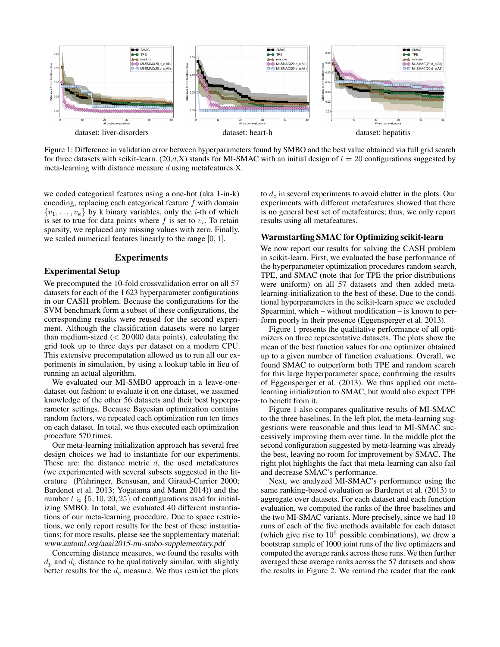

Figure 1: Difference in validation error between hyperparameters found by SMBO and the best value obtained via full grid search for three datasets with scikit-learn. (20,d,X) stands for MI-SMAC with an initial design of  $t = 20$  configurations suggested by meta-learning with distance measure  $d$  using metafeatures X.

we coded categorical features using a one-hot (aka 1-in-k) encoding, replacing each categorical feature  $f$  with domain  $\{v_1, \ldots, v_k\}$  by k binary variables, only the *i*-th of which is set to true for data points where  $f$  is set to  $v_i$ . To retain sparsity, we replaced any missing values with zero. Finally, we scaled numerical features linearly to the range  $[0, 1]$ .

# Experiments

#### Experimental Setup

We precomputed the 10-fold crossvalidation error on all 57 datasets for each of the 1 623 hyperparameter configurations in our CASH problem. Because the configurations for the SVM benchmark form a subset of these configurations, the corresponding results were reused for the second experiment. Although the classification datasets were no larger than medium-sized  $(< 20000$  data points), calculating the grid took up to three days per dataset on a modern CPU. This extensive precomputation allowed us to run all our experiments in simulation, by using a lookup table in lieu of running an actual algorithm.

We evaluated our MI-SMBO approach in a leave-onedataset-out fashion: to evaluate it on one dataset, we assumed knowledge of the other 56 datasets and their best hyperparameter settings. Because Bayesian optimization contains random factors, we repeated each optimization run ten times on each dataset. In total, we thus executed each optimization procedure 570 times.

Our meta-learning initialization approach has several free design choices we had to instantiate for our experiments. These are: the distance metric  $d$ , the used metafeatures (we experimented with several subsets suggested in the literature (Pfahringer, Bensusan, and Giraud-Carrier 2000; Bardenet et al. 2013; Yogatama and Mann 2014)) and the number  $t \in \{5, 10, 20, 25\}$  of configurations used for initializing SMBO. In total, we evaluated 40 different instantiations of our meta-learning procedure. Due to space restrictions, we only report results for the best of these instantiations; for more results, please see the supplementary material: www.automl.org/aaai2015-mi-smbo-supplementary.pdf

Concerning distance measures, we found the results with  $d_p$  and  $d_c$  distance to be qualitatively similar, with slightly better results for the  $d_c$  measure. We thus restrict the plots

to  $d_c$  in several experiments to avoid clutter in the plots. Our experiments with different metafeatures showed that there is no general best set of metafeatures; thus, we only report results using all metafeatures.

## Warmstarting SMAC for Optimizing scikit-learn

We now report our results for solving the CASH problem in scikit-learn. First, we evaluated the base performance of the hyperparameter optimization procedures random search, TPE, and SMAC (note that for TPE the prior distributions were uniform) on all 57 datasets and then added metalearning-initialization to the best of these. Due to the conditional hyperparameters in the scikit-learn space we excluded Spearmint, which – without modification – is known to perform poorly in their presence (Eggensperger et al. 2013).

Figure 1 presents the qualitative performance of all optimizers on three representative datasets. The plots show the mean of the best function values for one optimizer obtained up to a given number of function evaluations. Overall, we found SMAC to outperform both TPE and random search for this large hyperparameter space, confirming the results of Eggensperger et al. (2013). We thus applied our metalearning initialization to SMAC, but would also expect TPE to benefit from it.

Figure 1 also compares qualitative results of MI-SMAC to the three baselines. In the left plot, the meta-learning suggestions were reasonable and thus lead to MI-SMAC successively improving them over time. In the middle plot the second configuration suggested by meta-learning was already the best, leaving no room for improvement by SMAC. The right plot highlights the fact that meta-learning can also fail and decrease SMAC's performance.

Next, we analyzed MI-SMAC's performance using the same ranking-based evaluation as Bardenet et al. (2013) to aggregate over datasets. For each dataset and each function evaluation, we computed the ranks of the three baselines and the two MI-SMAC variants. More precisely, since we had 10 runs of each of the five methods available for each dataset (which give rise to  $10^5$  possible combinations), we drew a bootstrap sample of 1000 joint runs of the five optimizers and computed the average ranks across these runs. We then further averaged these average ranks across the 57 datasets and show the results in Figure 2. We remind the reader that the rank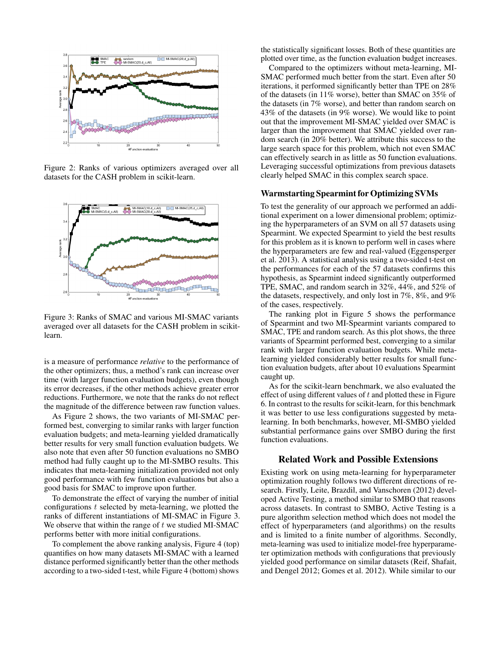

Figure 2: Ranks of various optimizers averaged over all datasets for the CASH problem in scikit-learn.



Figure 3: Ranks of SMAC and various MI-SMAC variants averaged over all datasets for the CASH problem in scikitlearn.

is a measure of performance *relative* to the performance of the other optimizers; thus, a method's rank can increase over time (with larger function evaluation budgets), even though its error decreases, if the other methods achieve greater error reductions. Furthermore, we note that the ranks do not reflect the magnitude of the difference between raw function values.

As Figure 2 shows, the two variants of MI-SMAC performed best, converging to similar ranks with larger function evaluation budgets; and meta-learning yielded dramatically better results for very small function evaluation budgets. We also note that even after 50 function evaluations no SMBO method had fully caught up to the MI-SMBO results. This indicates that meta-learning initialization provided not only good performance with few function evaluations but also a good basis for SMAC to improve upon further.

To demonstrate the effect of varying the number of initial configurations  $t$  selected by meta-learning, we plotted the ranks of different instantiations of MI-SMAC in Figure 3. We observe that within the range of  $t$  we studied MI-SMAC performs better with more initial configurations.

To complement the above ranking analysis, Figure 4 (top) quantifies on how many datasets MI-SMAC with a learned distance performed significantly better than the other methods according to a two-sided t-test, while Figure 4 (bottom) shows

the statistically significant losses. Both of these quantities are plotted over time, as the function evaluation budget increases.

Compared to the optimizers without meta-learning, MI-SMAC performed much better from the start. Even after 50 iterations, it performed significantly better than TPE on 28% of the datasets (in 11% worse), better than SMAC on 35% of the datasets (in 7% worse), and better than random search on 43% of the datasets (in 9% worse). We would like to point out that the improvement MI-SMAC yielded over SMAC is larger than the improvement that SMAC yielded over random search (in 20% better). We attribute this success to the large search space for this problem, which not even SMAC can effectively search in as little as 50 function evaluations. Leveraging successful optimizations from previous datasets clearly helped SMAC in this complex search space.

#### Warmstarting Spearmint for Optimizing SVMs

To test the generality of our approach we performed an additional experiment on a lower dimensional problem; optimizing the hyperparameters of an SVM on all 57 datasets using Spearmint. We expected Spearmint to yield the best results for this problem as it is known to perform well in cases where the hyperparameters are few and real-valued (Eggensperger et al. 2013). A statistical analysis using a two-sided t-test on the performances for each of the 57 datasets confirms this hypothesis, as Spearmint indeed significantly outperformed TPE, SMAC, and random search in 32%, 44%, and 52% of the datasets, respectively, and only lost in 7%, 8%, and 9% of the cases, respectively.

The ranking plot in Figure 5 shows the performance of Spearmint and two MI-Spearmint variants compared to SMAC, TPE and random search. As this plot shows, the three variants of Spearmint performed best, converging to a similar rank with larger function evaluation budgets. While metalearning yielded considerably better results for small function evaluation budgets, after about 10 evaluations Spearmint caught up.

As for the scikit-learn benchmark, we also evaluated the effect of using different values of  $t$  and plotted these in Figure 6. In contrast to the results for scikit-learn, for this benchmark it was better to use less configurations suggested by metalearning. In both benchmarks, however, MI-SMBO yielded substantial performance gains over SMBO during the first function evaluations.

#### Related Work and Possible Extensions

Existing work on using meta-learning for hyperparameter optimization roughly follows two different directions of research. Firstly, Leite, Brazdil, and Vanschoren (2012) developed Active Testing, a method similar to SMBO that reasons across datasets. In contrast to SMBO, Active Testing is a pure algorithm selection method which does not model the effect of hyperparameters (and algorithms) on the results and is limited to a finite number of algorithms. Secondly, meta-learning was used to initialize model-free hyperparameter optimization methods with configurations that previously yielded good performance on similar datasets (Reif, Shafait, and Dengel 2012; Gomes et al. 2012). While similar to our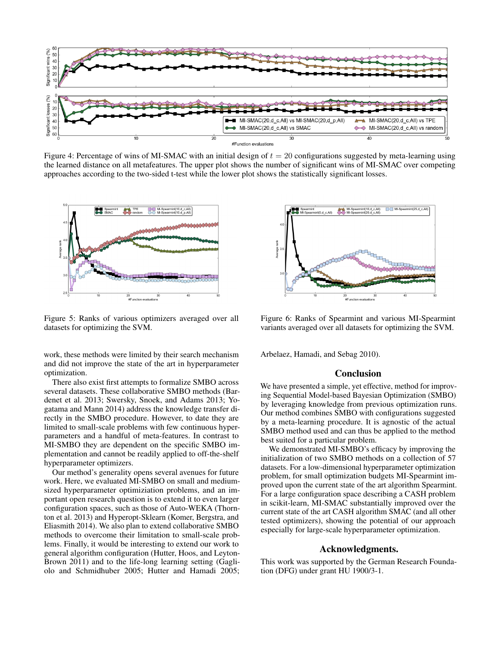

Figure 4: Percentage of wins of MI-SMAC with an initial design of  $t = 20$  configurations suggested by meta-learning using the learned distance on all metafeatures. The upper plot shows the number of significant wins of MI-SMAC over competing approaches according to the two-sided t-test while the lower plot shows the statistically significant losses.



Figure 5: Ranks of various optimizers averaged over all datasets for optimizing the SVM.

work, these methods were limited by their search mechanism and did not improve the state of the art in hyperparameter optimization.

There also exist first attempts to formalize SMBO across several datasets. These collaborative SMBO methods (Bardenet et al. 2013; Swersky, Snoek, and Adams 2013; Yogatama and Mann 2014) address the knowledge transfer directly in the SMBO procedure. However, to date they are limited to small-scale problems with few continuous hyperparameters and a handful of meta-features. In contrast to MI-SMBO they are dependent on the specific SMBO implementation and cannot be readily applied to off-the-shelf hyperparameter optimizers.

Our method's generality opens several avenues for future work. Here, we evaluated MI-SMBO on small and mediumsized hyperparameter optimiziation problems, and an important open research question is to extend it to even larger configuration spaces, such as those of Auto-WEKA (Thornton et al. 2013) and Hyperopt-Sklearn (Komer, Bergstra, and Eliasmith 2014). We also plan to extend collaborative SMBO methods to overcome their limitation to small-scale problems. Finally, it would be interesting to extend our work to general algorithm configuration (Hutter, Hoos, and Leyton-Brown 2011) and to the life-long learning setting (Gagliolo and Schmidhuber 2005; Hutter and Hamadi 2005;



Figure 6: Ranks of Spearmint and various MI-Spearmint variants averaged over all datasets for optimizing the SVM.

Arbelaez, Hamadi, and Sebag 2010).

## Conclusion

We have presented a simple, yet effective, method for improving Sequential Model-based Bayesian Optimization (SMBO) by leveraging knowledge from previous optimization runs. Our method combines SMBO with configurations suggested by a meta-learning procedure. It is agnostic of the actual SMBO method used and can thus be applied to the method best suited for a particular problem.

We demonstrated MI-SMBO's efficacy by improving the initialization of two SMBO methods on a collection of 57 datasets. For a low-dimensional hyperparameter optimization problem, for small optimization budgets MI-Spearmint improved upon the current state of the art algorithm Spearmint. For a large configuration space describing a CASH problem in scikit-learn, MI-SMAC substantially improved over the current state of the art CASH algorithm SMAC (and all other tested optimizers), showing the potential of our approach especially for large-scale hyperparameter optimization.

### Acknowledgments.

This work was supported by the German Research Foundation (DFG) under grant HU 1900/3-1.